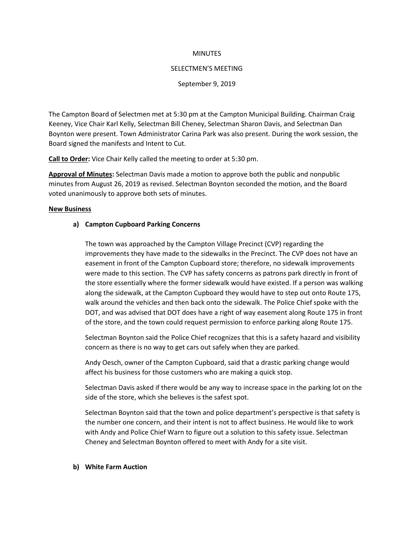### **MINUTES**

#### SELECTMEN'S MEETING

### September 9, 2019

The Campton Board of Selectmen met at 5:30 pm at the Campton Municipal Building. Chairman Craig Keeney, Vice Chair Karl Kelly, Selectman Bill Cheney, Selectman Sharon Davis, and Selectman Dan Boynton were present. Town Administrator Carina Park was also present. During the work session, the Board signed the manifests and Intent to Cut.

**Call to Order:** Vice Chair Kelly called the meeting to order at 5:30 pm.

**Approval of Minutes:** Selectman Davis made a motion to approve both the public and nonpublic minutes from August 26, 2019 as revised. Selectman Boynton seconded the motion, and the Board voted unanimously to approve both sets of minutes.

### **New Business**

## **a) Campton Cupboard Parking Concerns**

The town was approached by the Campton Village Precinct (CVP) regarding the improvements they have made to the sidewalks in the Precinct. The CVP does not have an easement in front of the Campton Cupboard store; therefore, no sidewalk improvements were made to this section. The CVP has safety concerns as patrons park directly in front of the store essentially where the former sidewalk would have existed. If a person was walking along the sidewalk, at the Campton Cupboard they would have to step out onto Route 175, walk around the vehicles and then back onto the sidewalk. The Police Chief spoke with the DOT, and was advised that DOT does have a right of way easement along Route 175 in front of the store, and the town could request permission to enforce parking along Route 175.

Selectman Boynton said the Police Chief recognizes that this is a safety hazard and visibility concern as there is no way to get cars out safely when they are parked.

Andy Oesch, owner of the Campton Cupboard, said that a drastic parking change would affect his business for those customers who are making a quick stop.

Selectman Davis asked if there would be any way to increase space in the parking lot on the side of the store, which she believes is the safest spot.

Selectman Boynton said that the town and police department's perspective is that safety is the number one concern, and their intent is not to affect business. He would like to work with Andy and Police Chief Warn to figure out a solution to this safety issue. Selectman Cheney and Selectman Boynton offered to meet with Andy for a site visit.

#### **b) White Farm Auction**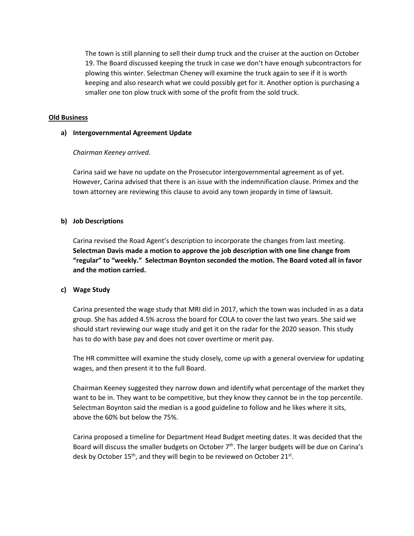The town is still planning to sell their dump truck and the cruiser at the auction on October 19. The Board discussed keeping the truck in case we don't have enough subcontractors for plowing this winter. Selectman Cheney will examine the truck again to see if it is worth keeping and also research what we could possibly get for it. Another option is purchasing a smaller one ton plow truck with some of the profit from the sold truck.

## **Old Business**

### **a) Intergovernmental Agreement Update**

## *Chairman Keeney arrived.*

Carina said we have no update on the Prosecutor intergovernmental agreement as of yet. However, Carina advised that there is an issue with the indemnification clause. Primex and the town attorney are reviewing this clause to avoid any town jeopardy in time of lawsuit.

# **b) Job Descriptions**

Carina revised the Road Agent's description to incorporate the changes from last meeting. **Selectman Davis made a motion to approve the job description with one line change from "regular" to "weekly." Selectman Boynton seconded the motion. The Board voted all in favor and the motion carried.**

# **c) Wage Study**

Carina presented the wage study that MRI did in 2017, which the town was included in as a data group. She has added 4.5% across the board for COLA to cover the last two years. She said we should start reviewing our wage study and get it on the radar for the 2020 season. This study has to do with base pay and does not cover overtime or merit pay.

The HR committee will examine the study closely, come up with a general overview for updating wages, and then present it to the full Board.

Chairman Keeney suggested they narrow down and identify what percentage of the market they want to be in. They want to be competitive, but they know they cannot be in the top percentile. Selectman Boynton said the median is a good guideline to follow and he likes where it sits, above the 60% but below the 75%.

Carina proposed a timeline for Department Head Budget meeting dates. It was decided that the Board will discuss the smaller budgets on October  $7<sup>th</sup>$ . The larger budgets will be due on Carina's desk by October 15<sup>th</sup>, and they will begin to be reviewed on October 21st.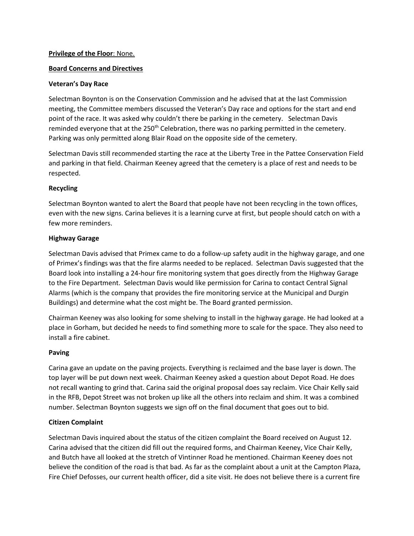# **Privilege of the Floor**: None.

## **Board Concerns and Directives**

## **Veteran's Day Race**

Selectman Boynton is on the Conservation Commission and he advised that at the last Commission meeting, the Committee members discussed the Veteran's Day race and options for the start and end point of the race. It was asked why couldn't there be parking in the cemetery. Selectman Davis reminded everyone that at the 250<sup>th</sup> Celebration, there was no parking permitted in the cemetery. Parking was only permitted along Blair Road on the opposite side of the cemetery.

Selectman Davis still recommended starting the race at the Liberty Tree in the Pattee Conservation Field and parking in that field. Chairman Keeney agreed that the cemetery is a place of rest and needs to be respected.

## **Recycling**

Selectman Boynton wanted to alert the Board that people have not been recycling in the town offices, even with the new signs. Carina believes it is a learning curve at first, but people should catch on with a few more reminders.

## **Highway Garage**

Selectman Davis advised that Primex came to do a follow-up safety audit in the highway garage, and one of Primex's findings was that the fire alarms needed to be replaced. Selectman Davis suggested that the Board look into installing a 24-hour fire monitoring system that goes directly from the Highway Garage to the Fire Department. Selectman Davis would like permission for Carina to contact Central Signal Alarms (which is the company that provides the fire monitoring service at the Municipal and Durgin Buildings) and determine what the cost might be. The Board granted permission.

Chairman Keeney was also looking for some shelving to install in the highway garage. He had looked at a place in Gorham, but decided he needs to find something more to scale for the space. They also need to install a fire cabinet.

### **Paving**

Carina gave an update on the paving projects. Everything is reclaimed and the base layer is down. The top layer will be put down next week. Chairman Keeney asked a question about Depot Road. He does not recall wanting to grind that. Carina said the original proposal does say reclaim. Vice Chair Kelly said in the RFB, Depot Street was not broken up like all the others into reclaim and shim. It was a combined number. Selectman Boynton suggests we sign off on the final document that goes out to bid.

# **Citizen Complaint**

Selectman Davis inquired about the status of the citizen complaint the Board received on August 12. Carina advised that the citizen did fill out the required forms, and Chairman Keeney, Vice Chair Kelly, and Butch have all looked at the stretch of Vintinner Road he mentioned. Chairman Keeney does not believe the condition of the road is that bad. As far as the complaint about a unit at the Campton Plaza, Fire Chief Defosses, our current health officer, did a site visit. He does not believe there is a current fire